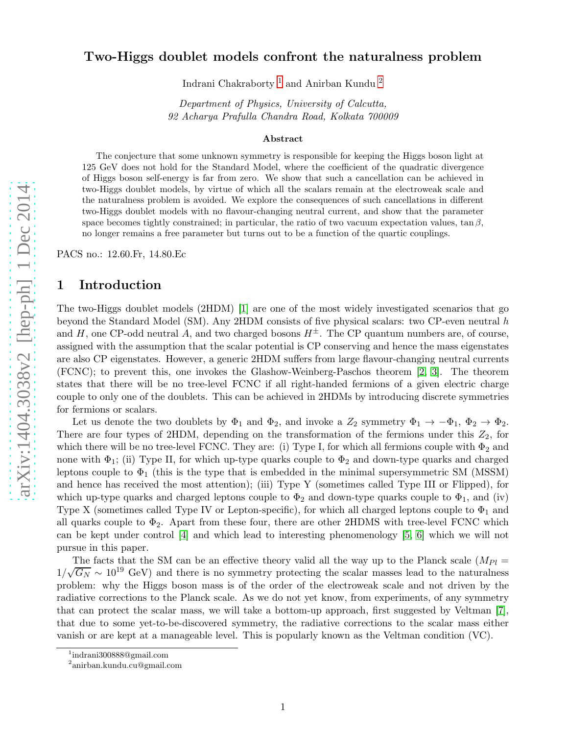## Two-Higgs doublet models confront the naturalness problem

Indrani Chakraborty [1](#page-0-0) and Anirban Kundu [2](#page-0-1)

Department of Physics, University of Calcutta, 92 Acharya Prafulla Chandra Road, Kolkata 700009

#### Abstract

The conjecture that some unknown symmetry is responsible for keeping the Higgs boson light at 125 GeV does not hold for the Standard Model, where the coefficient of the quadratic divergence of Higgs boson self-energy is far from zero. We show that such a cancellation can be achieved in two-Higgs doublet models, by virtue of which all the scalars remain at the electroweak scale and the naturalness problem is avoided. We explore the consequences of such cancellations in different two-Higgs doublet models with no flavour-changing neutral current, and show that the parameter space becomes tightly constrained; in particular, the ratio of two vacuum expectation values,  $\tan \beta$ , no longer remains a free parameter but turns out to be a function of the quartic couplings.

PACS no.: 12.60.Fr, 14.80.Ec

## 1 Introduction

The two-Higgs doublet models (2HDM) [\[1\]](#page-12-0) are one of the most widely investigated scenarios that go beyond the Standard Model (SM). Any 2HDM consists of five physical scalars: two CP-even neutral h and H, one CP-odd neutral A, and two charged bosons  $H^{\pm}$ . The CP quantum numbers are, of course, assigned with the assumption that the scalar potential is CP conserving and hence the mass eigenstates are also CP eigenstates. However, a generic 2HDM suffers from large flavour-changing neutral currents (FCNC); to prevent this, one invokes the Glashow-Weinberg-Paschos theorem [\[2,](#page-12-1) [3\]](#page-12-2). The theorem states that there will be no tree-level FCNC if all right-handed fermions of a given electric charge couple to only one of the doublets. This can be achieved in 2HDMs by introducing discrete symmetries for fermions or scalars.

Let us denote the two doublets by  $\Phi_1$  and  $\Phi_2$ , and invoke a  $Z_2$  symmetry  $\Phi_1 \to -\Phi_1$ ,  $\Phi_2 \to \Phi_2$ . There are four types of 2HDM, depending on the transformation of the fermions under this  $Z_2$ , for which there will be no tree-level FCNC. They are: (i) Type I, for which all fermions couple with  $\Phi_2$  and none with  $\Phi_1$ ; (ii) Type II, for which up-type quarks couple to  $\Phi_2$  and down-type quarks and charged leptons couple to  $\Phi_1$  (this is the type that is embedded in the minimal supersymmetric SM (MSSM) and hence has received the most attention); (iii) Type Y (sometimes called Type III or Flipped), for which up-type quarks and charged leptons couple to  $\Phi_2$  and down-type quarks couple to  $\Phi_1$ , and (iv) Type X (sometimes called Type IV or Lepton-specific), for which all charged leptons couple to  $\Phi_1$  and all quarks couple to  $\Phi_2$ . Apart from these four, there are other 2HDMS with tree-level FCNC which can be kept under control [\[4\]](#page-12-3) and which lead to interesting phenomenology [\[5,](#page-13-0) [6\]](#page-13-1) which we will not pursue in this paper.

The facts that the SM can be an effective theory valid all the way up to the Planck scale  $(M_{Pl} =$  $1/\sqrt{G_N} \sim 10^{19}$  GeV) and there is no symmetry protecting the scalar masses lead to the naturalness problem: why the Higgs boson mass is of the order of the electroweak scale and not driven by the radiative corrections to the Planck scale. As we do not yet know, from experiments, of any symmetry that can protect the scalar mass, we will take a bottom-up approach, first suggested by Veltman [\[7\]](#page-13-2), that due to some yet-to-be-discovered symmetry, the radiative corrections to the scalar mass either vanish or are kept at a manageable level. This is popularly known as the Veltman condition (VC).

<sup>1</sup> indrani300888@gmail.com

<span id="page-0-1"></span><span id="page-0-0"></span><sup>2</sup> anirban.kundu.cu@gmail.com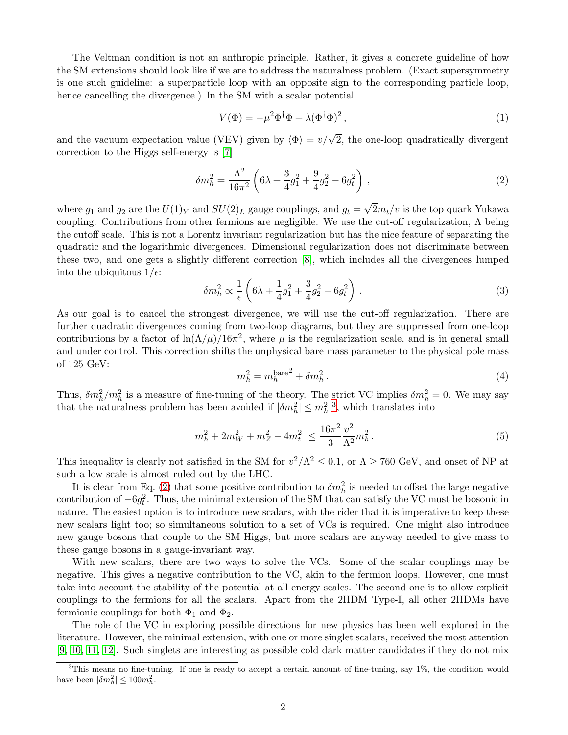The Veltman condition is not an anthropic principle. Rather, it gives a concrete guideline of how the SM extensions should look like if we are to address the naturalness problem. (Exact supersymmetry is one such guideline: a superparticle loop with an opposite sign to the corresponding particle loop, hence cancelling the divergence.) In the SM with a scalar potential

<span id="page-1-1"></span>
$$
V(\Phi) = -\mu^2 \Phi^\dagger \Phi + \lambda (\Phi^\dagger \Phi)^2, \qquad (1)
$$

and the vacuum expectation value (VEV) given by  $\langle \Phi \rangle = v/\sqrt{2}$ , the one-loop quadratically divergent correction to the Higgs self-energy is [\[7\]](#page-13-2)

$$
\delta m_h^2 = \frac{\Lambda^2}{16\pi^2} \left( 6\lambda + \frac{3}{4}g_1^2 + \frac{9}{4}g_2^2 - 6g_t^2 \right) , \qquad (2)
$$

where  $g_1$  and  $g_2$  are the  $U(1)_Y$  and  $SU(2)_L$  gauge couplings, and  $g_t = \sqrt{2}m_t/v$  is the top quark Yukawa coupling. Contributions from other fermions are negligible. We use the cut-off regularization, Λ being the cutoff scale. This is not a Lorentz invariant regularization but has the nice feature of separating the quadratic and the logarithmic divergences. Dimensional regularization does not discriminate between these two, and one gets a slightly different correction [\[8\]](#page-13-3), which includes all the divergences lumped into the ubiquitous  $1/\epsilon$ :

$$
\delta m_h^2 \propto \frac{1}{\epsilon} \left( 6\lambda + \frac{1}{4} g_1^2 + \frac{3}{4} g_2^2 - 6g_t^2 \right) . \tag{3}
$$

As our goal is to cancel the strongest divergence, we will use the cut-off regularization. There are further quadratic divergences coming from two-loop diagrams, but they are suppressed from one-loop contributions by a factor of  $\ln(\Lambda/\mu)/16\pi^2$ , where  $\mu$  is the regularization scale, and is in general small and under control. This correction shifts the unphysical bare mass parameter to the physical pole mass of 125 GeV:

$$
m_h^2 = m_h^{\text{bare}} + \delta m_h^2. \tag{4}
$$

Thus,  $\delta m_h^2/m_h^2$  is a measure of fine-tuning of the theory. The strict VC implies  $\delta m_h^2 = 0$ . We may say that the naturalness problem has been avoided if  $|\delta m_h^2| \le m_h^2$ [3](#page-1-0) , which translates into

$$
\left| m_h^2 + 2m_W^2 + m_Z^2 - 4m_t^2 \right| \le \frac{16\pi^2}{3} \frac{v^2}{\Lambda^2} m_h^2 \,. \tag{5}
$$

This inequality is clearly not satisfied in the SM for  $v^2/\Lambda^2 \le 0.1$ , or  $\Lambda \ge 760$  GeV, and onset of NP at such a low scale is almost ruled out by the LHC.

It is clear from Eq. [\(2\)](#page-1-1) that some positive contribution to  $\delta m_h^2$  is needed to offset the large negative contribution of  $-6g_t^2$ . Thus, the minimal extension of the SM that can satisfy the VC must be bosonic in nature. The easiest option is to introduce new scalars, with the rider that it is imperative to keep these new scalars light too; so simultaneous solution to a set of VCs is required. One might also introduce new gauge bosons that couple to the SM Higgs, but more scalars are anyway needed to give mass to these gauge bosons in a gauge-invariant way.

With new scalars, there are two ways to solve the VCs. Some of the scalar couplings may be negative. This gives a negative contribution to the VC, akin to the fermion loops. However, one must take into account the stability of the potential at all energy scales. The second one is to allow explicit couplings to the fermions for all the scalars. Apart from the 2HDM Type-I, all other 2HDMs have fermionic couplings for both  $\Phi_1$  and  $\Phi_2$ .

The role of the VC in exploring possible directions for new physics has been well explored in the literature. However, the minimal extension, with one or more singlet scalars, received the most attention [\[9,](#page-13-4) [10,](#page-13-5) [11,](#page-13-6) [12\]](#page-13-7). Such singlets are interesting as possible cold dark matter candidates if they do not mix

<span id="page-1-0"></span><sup>&</sup>lt;sup>3</sup>This means no fine-tuning. If one is ready to accept a certain amount of fine-tuning, say 1%, the condition would have been  $|\delta m_h^2| \leq 100 m_h^2$ .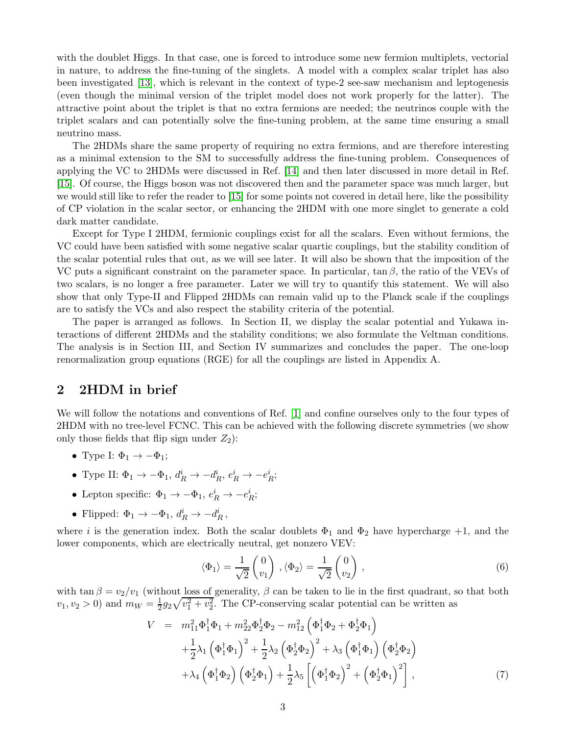with the doublet Higgs. In that case, one is forced to introduce some new fermion multiplets, vectorial in nature, to address the fine-tuning of the singlets. A model with a complex scalar triplet has also been investigated [\[13\]](#page-13-8), which is relevant in the context of type-2 see-saw mechanism and leptogenesis (even though the minimal version of the triplet model does not work properly for the latter). The attractive point about the triplet is that no extra fermions are needed; the neutrinos couple with the triplet scalars and can potentially solve the fine-tuning problem, at the same time ensuring a small neutrino mass.

The 2HDMs share the same property of requiring no extra fermions, and are therefore interesting as a minimal extension to the SM to successfully address the fine-tuning problem. Consequences of applying the VC to 2HDMs were discussed in Ref. [\[14\]](#page-13-9) and then later discussed in more detail in Ref. [\[15\]](#page-13-10). Of course, the Higgs boson was not discovered then and the parameter space was much larger, but we would still like to refer the reader to [\[15\]](#page-13-10) for some points not covered in detail here, like the possibility of CP violation in the scalar sector, or enhancing the 2HDM with one more singlet to generate a cold dark matter candidate.

Except for Type I 2HDM, fermionic couplings exist for all the scalars. Even without fermions, the VC could have been satisfied with some negative scalar quartic couplings, but the stability condition of the scalar potential rules that out, as we will see later. It will also be shown that the imposition of the VC puts a significant constraint on the parameter space. In particular, tan  $\beta$ , the ratio of the VEVs of two scalars, is no longer a free parameter. Later we will try to quantify this statement. We will also show that only Type-II and Flipped 2HDMs can remain valid up to the Planck scale if the couplings are to satisfy the VCs and also respect the stability criteria of the potential.

The paper is arranged as follows. In Section II, we display the scalar potential and Yukawa interactions of different 2HDMs and the stability conditions; we also formulate the Veltman conditions. The analysis is in Section III, and Section IV summarizes and concludes the paper. The one-loop renormalization group equations (RGE) for all the couplings are listed in Appendix A.

### 2 2HDM in brief

We will follow the notations and conventions of Ref. [\[1\]](#page-12-0) and confine ourselves only to the four types of 2HDM with no tree-level FCNC. This can be achieved with the following discrete symmetries (we show only those fields that flip sign under  $Z_2$ :

- Type I:  $\Phi_1 \rightarrow -\Phi_1$ ;
- Type II:  $\Phi_1 \rightarrow -\Phi_1$ ,  $d_R^i \rightarrow -d_R^i$ ,  $e_R^i \rightarrow -e_R^i$ ;
- Lepton specific:  $\Phi_1 \rightarrow -\Phi_1$ ,  $e_R^i \rightarrow -e_R^i$ ;
- Flipped:  $\Phi_1 \rightarrow -\Phi_1$ ,  $d_R^i \rightarrow -d_R^i$ ,

where i is the generation index. Both the scalar doublets  $\Phi_1$  and  $\Phi_2$  have hypercharge +1, and the lower components, which are electrically neutral, get nonzero VEV:

$$
\langle \Phi_1 \rangle = \frac{1}{\sqrt{2}} \begin{pmatrix} 0 \\ v_1 \end{pmatrix}, \langle \Phi_2 \rangle = \frac{1}{\sqrt{2}} \begin{pmatrix} 0 \\ v_2 \end{pmatrix}, \tag{6}
$$

with tan  $\beta = v_2/v_1$  (without loss of generality,  $\beta$  can be taken to lie in the first quadrant, so that both  $v_1, v_2 > 0$  and  $m_W = \frac{1}{2}$  $\frac{1}{2}g_2\sqrt{v_1^2+v_2^2}$ . The CP-conserving scalar potential can be written as

$$
V = m_{11}^{2} \Phi_{1}^{\dagger} \Phi_{1} + m_{22}^{2} \Phi_{2}^{\dagger} \Phi_{2} - m_{12}^{2} \left( \Phi_{1}^{\dagger} \Phi_{2} + \Phi_{2}^{\dagger} \Phi_{1} \right) + \frac{1}{2} \lambda_{1} \left( \Phi_{1}^{\dagger} \Phi_{1} \right)^{2} + \frac{1}{2} \lambda_{2} \left( \Phi_{2}^{\dagger} \Phi_{2} \right)^{2} + \lambda_{3} \left( \Phi_{1}^{\dagger} \Phi_{1} \right) \left( \Phi_{2}^{\dagger} \Phi_{2} \right) + \lambda_{4} \left( \Phi_{1}^{\dagger} \Phi_{2} \right) \left( \Phi_{2}^{\dagger} \Phi_{1} \right) + \frac{1}{2} \lambda_{5} \left[ \left( \Phi_{1}^{\dagger} \Phi_{2} \right)^{2} + \left( \Phi_{2}^{\dagger} \Phi_{1} \right)^{2} \right],
$$
\n(7)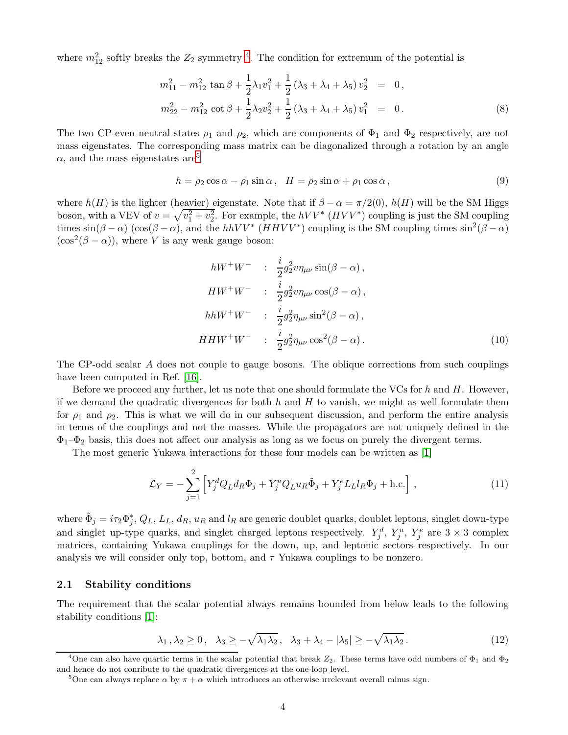where  $m_{12}^2$  softly breaks the  $Z_2$  symmetry <sup>[4](#page-3-0)</sup>. The condition for extremum of the potential is

<span id="page-3-3"></span>
$$
m_{11}^2 - m_{12}^2 \tan \beta + \frac{1}{2} \lambda_1 v_1^2 + \frac{1}{2} (\lambda_3 + \lambda_4 + \lambda_5) v_2^2 = 0,
$$
  

$$
m_{22}^2 - m_{12}^2 \cot \beta + \frac{1}{2} \lambda_2 v_2^2 + \frac{1}{2} (\lambda_3 + \lambda_4 + \lambda_5) v_1^2 = 0.
$$
 (8)

The two CP-even neutral states  $\rho_1$  and  $\rho_2$ , which are components of  $\Phi_1$  and  $\Phi_2$  respectively, are not mass eigenstates. The corresponding mass matrix can be diagonalized through a rotation by an angle  $\alpha$ , and the mass eigenstates are<sup>[5](#page-3-1)</sup>

$$
h = \rho_2 \cos \alpha - \rho_1 \sin \alpha, \quad H = \rho_2 \sin \alpha + \rho_1 \cos \alpha, \tag{9}
$$

where  $h(H)$  is the lighter (heavier) eigenstate. Note that if  $\beta - \alpha = \pi/2(0)$ ,  $h(H)$  will be the SM Higgs boson, with a VEV of  $v = \sqrt{v_1^2 + v_2^2}$ . For example, the  $hVV^*$   $(HVV^*)$  coupling is just the SM coupling times  $\sin(\beta - \alpha)$  (cos( $\beta - \alpha$ ), and the hhVV<sup>\*</sup> (HHVV<sup>\*</sup>) coupling is the SM coupling times  $\sin^2(\beta - \alpha)$  $(\cos^2(\beta - \alpha))$ , where V is any weak gauge boson:

$$
hW^+W^- \quad : \quad \frac{i}{2}g_2^2v\eta_{\mu\nu}\sin(\beta-\alpha)\,,
$$
  
\n
$$
HW^+W^- \quad : \quad \frac{i}{2}g_2^2v\eta_{\mu\nu}\cos(\beta-\alpha)\,,
$$
  
\n
$$
hhW^+W^- \quad : \quad \frac{i}{2}g_2^2\eta_{\mu\nu}\sin^2(\beta-\alpha)\,,
$$
  
\n
$$
HHW^+W^- \quad : \quad \frac{i}{2}g_2^2\eta_{\mu\nu}\cos^2(\beta-\alpha)\,.
$$
\n(10)

The CP-odd scalar A does not couple to gauge bosons. The oblique corrections from such couplings have been computed in Ref. [\[16\]](#page-13-11).

Before we proceed any further, let us note that one should formulate the VCs for  $h$  and  $H$ . However, if we demand the quadratic divergences for both  $h$  and  $H$  to vanish, we might as well formulate them for  $\rho_1$  and  $\rho_2$ . This is what we will do in our subsequent discussion, and perform the entire analysis in terms of the couplings and not the masses. While the propagators are not uniquely defined in the  $\Phi_1-\Phi_2$  basis, this does not affect our analysis as long as we focus on purely the divergent terms.

The most generic Yukawa interactions for these four models can be written as [\[1\]](#page-12-0)

$$
\mathcal{L}_Y = -\sum_{j=1}^2 \left[ Y_j^d \overline{Q}_L d_R \Phi_j + Y_j^u \overline{Q}_L u_R \tilde{\Phi}_j + Y_j^e \overline{L}_L l_R \Phi_j + \text{h.c.} \right],\tag{11}
$$

where  $\tilde{\Phi}_j = i\tau_2 \Phi_j^*, Q_L, L_L, d_R, u_R$  and  $l_R$  are generic doublet quarks, doublet leptons, singlet down-type and singlet up-type quarks, and singlet charged leptons respectively.  $Y_j^d$ ,  $Y_j^u$ ,  $Y_j^e$  are  $3 \times 3$  complex matrices, containing Yukawa couplings for the down, up, and leptonic sectors respectively. In our analysis we will consider only top, bottom, and  $\tau$  Yukawa couplings to be nonzero.

#### 2.1 Stability conditions

The requirement that the scalar potential always remains bounded from below leads to the following stability conditions [\[1\]](#page-12-0):

<span id="page-3-2"></span>
$$
\lambda_1, \lambda_2 \ge 0, \quad \lambda_3 \ge -\sqrt{\lambda_1 \lambda_2}, \quad \lambda_3 + \lambda_4 - |\lambda_5| \ge -\sqrt{\lambda_1 \lambda_2}.
$$
 (12)

<sup>&</sup>lt;sup>4</sup>One can also have quartic terms in the scalar potential that break  $Z_2$ . These terms have odd numbers of  $\Phi_1$  and  $\Phi_2$ and hence do not conribute to the quadratic divergences at the one-loop level.

<span id="page-3-1"></span><span id="page-3-0"></span><sup>&</sup>lt;sup>5</sup>One can always replace  $\alpha$  by  $\pi + \alpha$  which introduces an otherwise irrelevant overall minus sign.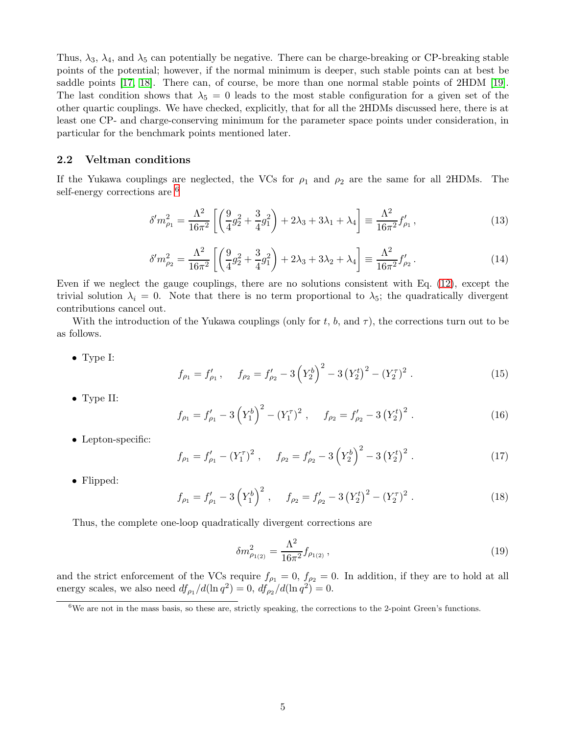Thus,  $\lambda_3$ ,  $\lambda_4$ , and  $\lambda_5$  can potentially be negative. There can be charge-breaking or CP-breaking stable points of the potential; however, if the normal minimum is deeper, such stable points can at best be saddle points [\[17,](#page-13-12) [18\]](#page-13-13). There can, of course, be more than one normal stable points of 2HDM [\[19\]](#page-13-14). The last condition shows that  $\lambda_5 = 0$  leads to the most stable configuration for a given set of the other quartic couplings. We have checked, explicitly, that for all the 2HDMs discussed here, there is at least one CP- and charge-conserving minimum for the parameter space points under consideration, in particular for the benchmark points mentioned later.

#### 2.2 Veltman conditions

If the Yukawa couplings are neglected, the VCs for  $\rho_1$  and  $\rho_2$  are the same for all 2HDMs. The self-energy corrections are <sup>[6](#page-4-0)</sup>

$$
\delta' m_{\rho_1}^2 = \frac{\Lambda^2}{16\pi^2} \left[ \left( \frac{9}{4} g_2^2 + \frac{3}{4} g_1^2 \right) + 2\lambda_3 + 3\lambda_1 + \lambda_4 \right] \equiv \frac{\Lambda^2}{16\pi^2} f_{\rho_1}',\tag{13}
$$

$$
\delta' m_{\rho_2}^2 = \frac{\Lambda^2}{16\pi^2} \left[ \left( \frac{9}{4} g_2^2 + \frac{3}{4} g_1^2 \right) + 2\lambda_3 + 3\lambda_2 + \lambda_4 \right] \equiv \frac{\Lambda^2}{16\pi^2} f_{\rho_2}' \,. \tag{14}
$$

Even if we neglect the gauge couplings, there are no solutions consistent with Eq. [\(12\)](#page-3-2), except the trivial solution  $\lambda_i = 0$ . Note that there is no term proportional to  $\lambda_5$ ; the quadratically divergent contributions cancel out.

With the introduction of the Yukawa couplings (only for t, b, and  $\tau$ ), the corrections turn out to be as follows.

<span id="page-4-1"></span>• Type I:

$$
f_{\rho_1} = f'_{\rho_1} , \quad f_{\rho_2} = f'_{\rho_2} - 3\left(Y_2^b\right)^2 - 3\left(Y_2^t\right)^2 - \left(Y_2^{\tau}\right)^2 . \tag{15}
$$

• Type II:

$$
f_{\rho_1} = f'_{\rho_1} - 3\left(Y_1^b\right)^2 - \left(Y_1^{\tau}\right)^2, \quad f_{\rho_2} = f'_{\rho_2} - 3\left(Y_2^t\right)^2. \tag{16}
$$

• Lepton-specific:

$$
f_{\rho_1} = f'_{\rho_1} - (Y_1^{\tau})^2 \;, \quad f_{\rho_2} = f'_{\rho_2} - 3\left(Y_2^b\right)^2 - 3\left(Y_2^t\right)^2 \;.
$$
 (17)

• Flipped:

$$
f_{\rho_1} = f'_{\rho_1} - 3\left(Y_1^b\right)^2, \quad f_{\rho_2} = f'_{\rho_2} - 3\left(Y_2^t\right)^2 - \left(Y_2^{\tau}\right)^2. \tag{18}
$$

Thus, the complete one-loop quadratically divergent corrections are

$$
\delta m_{\rho_{1(2)}}^2 = \frac{\Lambda^2}{16\pi^2} f_{\rho_{1(2)}},\tag{19}
$$

and the strict enforcement of the VCs require  $f_{\rho_1} = 0$ ,  $f_{\rho_2} = 0$ . In addition, if they are to hold at all energy scales, we also need  $df_{\rho_1}/d(\ln q^2) = 0$ ,  $df_{\rho_2}/d(\ln q^2) = 0$ .

<span id="page-4-0"></span> $6$ We are not in the mass basis, so these are, strictly speaking, the corrections to the 2-point Green's functions.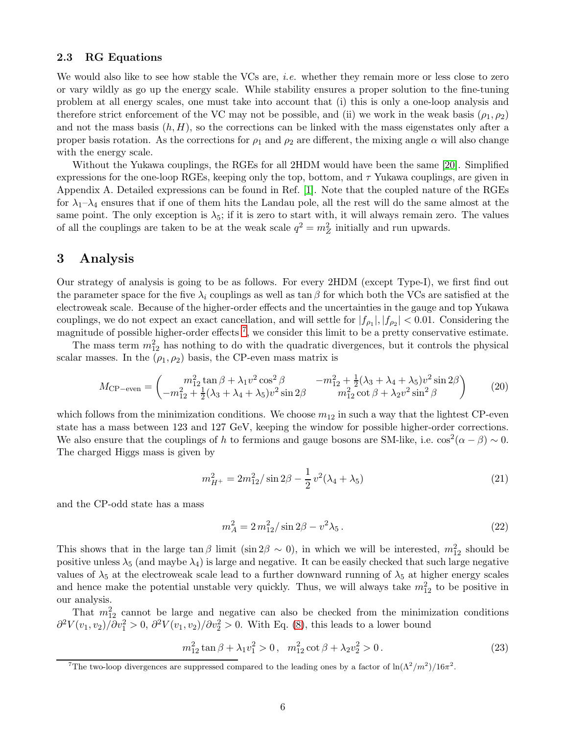#### 2.3 RG Equations

We would also like to see how stable the VCs are, *i.e.* whether they remain more or less close to zero or vary wildly as go up the energy scale. While stability ensures a proper solution to the fine-tuning problem at all energy scales, one must take into account that (i) this is only a one-loop analysis and therefore strict enforcement of the VC may not be possible, and (ii) we work in the weak basis  $(\rho_1, \rho_2)$ and not the mass basis  $(h, H)$ , so the corrections can be linked with the mass eigenstates only after a proper basis rotation. As the corrections for  $\rho_1$  and  $\rho_2$  are different, the mixing angle  $\alpha$  will also change with the energy scale.

Without the Yukawa couplings, the RGEs for all 2HDM would have been the same [\[20\]](#page-13-15). Simplified expressions for the one-loop RGEs, keeping only the top, bottom, and  $\tau$  Yukawa couplings, are given in Appendix A. Detailed expressions can be found in Ref. [\[1\]](#page-12-0). Note that the coupled nature of the RGEs for  $\lambda_1-\lambda_4$  ensures that if one of them hits the Landau pole, all the rest will do the same almost at the same point. The only exception is  $\lambda_5$ ; if it is zero to start with, it will always remain zero. The values of all the couplings are taken to be at the weak scale  $q^2 = m_Z^2$  initially and run upwards.

### 3 Analysis

Our strategy of analysis is going to be as follows. For every 2HDM (except Type-I), we first find out the parameter space for the five  $\lambda_i$  couplings as well as tan  $\beta$  for which both the VCs are satisfied at the electroweak scale. Because of the higher-order effects and the uncertainties in the gauge and top Yukawa couplings, we do not expect an exact cancellation, and will settle for  $|f_{\rho_1}|, |f_{\rho_2}| < 0.01$ . Considering the magnitude of possible higher-order effects  $^7$  $^7$ , we consider this limit to be a pretty conservative estimate.

The mass term  $m_{12}^2$  has nothing to do with the quadratic divergences, but it controls the physical scalar masses. In the  $(\rho_1, \rho_2)$  basis, the CP-even mass matrix is

$$
M_{\rm CP-even} = \begin{pmatrix} m_{12}^2 \tan \beta + \lambda_1 v^2 \cos^2 \beta & -m_{12}^2 + \frac{1}{2} (\lambda_3 + \lambda_4 + \lambda_5) v^2 \sin 2\beta \\ -m_{12}^2 + \frac{1}{2} (\lambda_3 + \lambda_4 + \lambda_5) v^2 \sin 2\beta & m_{12}^2 \cot \beta + \lambda_2 v^2 \sin^2 \beta \end{pmatrix} \tag{20}
$$

which follows from the minimization conditions. We choose  $m_{12}$  in such a way that the lightest CP-even state has a mass between 123 and 127 GeV, keeping the window for possible higher-order corrections. We also ensure that the couplings of h to fermions and gauge bosons are SM-like, i.e.  $\cos^2(\alpha - \beta) \sim 0$ . The charged Higgs mass is given by

$$
m_{H^{+}}^{2} = 2m_{12}^{2}/\sin 2\beta - \frac{1}{2}v^{2}(\lambda_{4} + \lambda_{5})
$$
\n(21)

and the CP-odd state has a mass

$$
m_A^2 = 2\,m_{12}^2/\sin 2\beta - v^2\lambda_5\,. \tag{22}
$$

This shows that in the large  $\tan \beta$  limit (sin 2 $\beta \sim 0$ ), in which we will be interested,  $m_{12}^2$  should be positive unless  $\lambda_5$  (and maybe  $\lambda_4$ ) is large and negative. It can be easily checked that such large negative values of  $\lambda_5$  at the electroweak scale lead to a further downward running of  $\lambda_5$  at higher energy scales and hence make the potential unstable very quickly. Thus, we will always take  $m_{12}^2$  to be positive in our analysis.

That  $m_{12}^2$  cannot be large and negative can also be checked from the minimization conditions  $\partial^2 V(v_1, v_2) / \partial v_1^2 > 0$ ,  $\partial^2 V(v_1, v_2) / \partial v_2^2 > 0$ . With Eq. [\(8\)](#page-3-3), this leads to a lower bound

$$
m_{12}^2 \tan \beta + \lambda_1 v_1^2 > 0
$$
,  $m_{12}^2 \cot \beta + \lambda_2 v_2^2 > 0$ . (23)

<span id="page-5-0"></span><sup>&</sup>lt;sup>7</sup>The two-loop divergences are suppressed compared to the leading ones by a factor of  $\ln(\Lambda^2/m^2)/16\pi^2$ .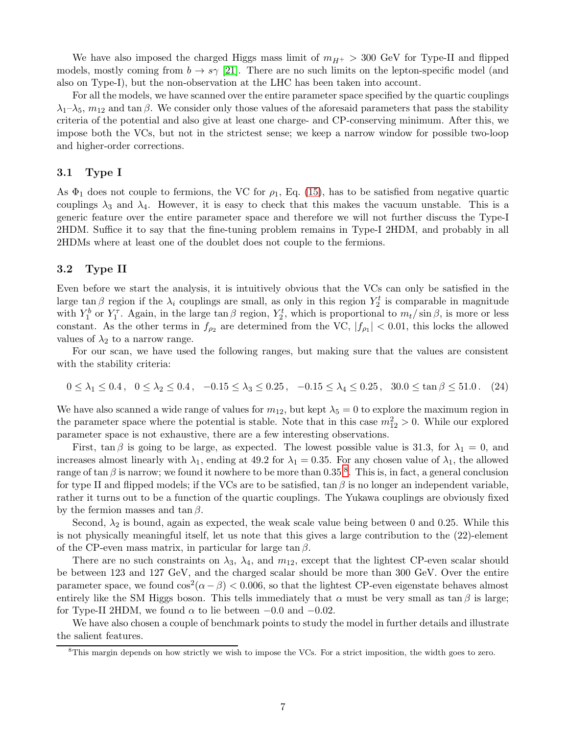We have also imposed the charged Higgs mass limit of  $m_{H+} > 300$  GeV for Type-II and flipped models, mostly coming from  $b \to s\gamma$  [\[21\]](#page-13-16). There are no such limits on the lepton-specific model (and also on Type-I), but the non-observation at the LHC has been taken into account.

For all the models, we have scanned over the entire parameter space specified by the quartic couplings  $\lambda_1-\lambda_5$ ,  $m_{12}$  and tan  $\beta$ . We consider only those values of the aforesaid parameters that pass the stability criteria of the potential and also give at least one charge- and CP-conserving minimum. After this, we impose both the VCs, but not in the strictest sense; we keep a narrow window for possible two-loop and higher-order corrections.

#### 3.1 Type I

As  $\Phi_1$  does not couple to fermions, the VC for  $\rho_1$ , Eq. [\(15\)](#page-4-1), has to be satisfied from negative quartic couplings  $\lambda_3$  and  $\lambda_4$ . However, it is easy to check that this makes the vacuum unstable. This is a generic feature over the entire parameter space and therefore we will not further discuss the Type-I 2HDM. Suffice it to say that the fine-tuning problem remains in Type-I 2HDM, and probably in all 2HDMs where at least one of the doublet does not couple to the fermions.

#### 3.2 Type II

Even before we start the analysis, it is intuitively obvious that the VCs can only be satisfied in the large tan  $\beta$  region if the  $\lambda_i$  couplings are small, as only in this region  $Y_2^t$  is comparable in magnitude with  $Y_1^b$  or  $Y_1^{\tau}$ . Again, in the large tan  $\beta$  region,  $Y_2^t$ , which is proportional to  $m_t/\sin \beta$ , is more or less constant. As the other terms in  $f_{\rho_2}$  are determined from the VC,  $|f_{\rho_1}| < 0.01$ , this locks the allowed values of  $\lambda_2$  to a narrow range.

For our scan, we have used the following ranges, but making sure that the values are consistent with the stability criteria:

 $0 \leq \lambda_1 \leq 0.4$ ,  $0 \leq \lambda_2 \leq 0.4$ ,  $-0.15 \leq \lambda_3 \leq 0.25$ ,  $-0.15 \leq \lambda_4 \leq 0.25$ ,  $30.0 \leq \tan \beta \leq 51.0$ . (24)

We have also scanned a wide range of values for  $m_{12}$ , but kept  $\lambda_5 = 0$  to explore the maximum region in the parameter space where the potential is stable. Note that in this case  $m_{12}^2 > 0$ . While our explored parameter space is not exhaustive, there are a few interesting observations.

First,  $\tan \beta$  is going to be large, as expected. The lowest possible value is 31.3, for  $\lambda_1 = 0$ , and increases almost linearly with  $\lambda_1$ , ending at 49.2 for  $\lambda_1 = 0.35$ . For any chosen value of  $\lambda_1$ , the allowed range of tan  $\beta$  is narrow; we found it nowhere to be more than 0.35 <sup>[8](#page-6-0)</sup>. This is, in fact, a general conclusion for type II and flipped models; if the VCs are to be satisfied,  $\tan \beta$  is no longer an independent variable, rather it turns out to be a function of the quartic couplings. The Yukawa couplings are obviously fixed by the fermion masses and  $\tan \beta$ .

Second,  $\lambda_2$  is bound, again as expected, the weak scale value being between 0 and 0.25. While this is not physically meaningful itself, let us note that this gives a large contribution to the (22)-element of the CP-even mass matrix, in particular for large tan  $\beta$ .

There are no such constraints on  $\lambda_3$ ,  $\lambda_4$ , and  $m_{12}$ , except that the lightest CP-even scalar should be between 123 and 127 GeV, and the charged scalar should be more than 300 GeV. Over the entire parameter space, we found  $\cos^2(\alpha - \beta) < 0.006$ , so that the lightest CP-even eigenstate behaves almost entirely like the SM Higgs boson. This tells immediately that  $\alpha$  must be very small as tan  $\beta$  is large; for Type-II 2HDM, we found  $\alpha$  to lie between  $-0.0$  and  $-0.02$ .

We have also chosen a couple of benchmark points to study the model in further details and illustrate the salient features.

<span id="page-6-0"></span><sup>&</sup>lt;sup>8</sup>This margin depends on how strictly we wish to impose the VCs. For a strict imposition, the width goes to zero.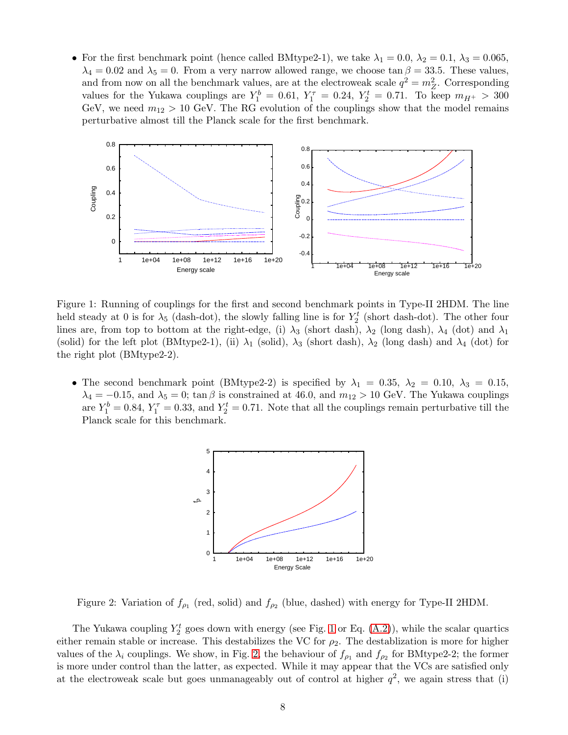• For the first benchmark point (hence called BMtype2-1), we take  $\lambda_1 = 0.0, \lambda_2 = 0.1, \lambda_3 = 0.065$ ,  $\lambda_4 = 0.02$  and  $\lambda_5 = 0$ . From a very narrow allowed range, we choose tan  $\beta = 33.5$ . These values, and from now on all the benchmark values, are at the electroweak scale  $q^2 = m_Z^2$ . Corresponding values for the Yukawa couplings are  $Y_1^b = 0.61, Y_1^{\tau} = 0.24, Y_2^t = 0.71$ . To keep  $m_{H^+} > 300$ GeV, we need  $m_{12} > 10$  GeV. The RG evolution of the couplings show that the model remains perturbative almost till the Planck scale for the first benchmark.



<span id="page-7-0"></span>Figure 1: Running of couplings for the first and second benchmark points in Type-II 2HDM. The line held steady at 0 is for  $\lambda_5$  (dash-dot), the slowly falling line is for  $Y_2^t$  (short dash-dot). The other four lines are, from top to bottom at the right-edge, (i)  $\lambda_3$  (short dash),  $\lambda_2$  (long dash),  $\lambda_4$  (dot) and  $\lambda_1$ (solid) for the left plot (BMtype2-1), (ii)  $\lambda_1$  (solid),  $\lambda_3$  (short dash),  $\lambda_2$  (long dash) and  $\lambda_4$  (dot) for the right plot (BMtype2-2).

• The second benchmark point (BMtype2-2) is specified by  $\lambda_1 = 0.35$ ,  $\lambda_2 = 0.10$ ,  $\lambda_3 = 0.15$ ,  $\lambda_4 = -0.15$ , and  $\lambda_5 = 0$ ; tan  $\beta$  is constrained at 46.0, and  $m_{12} > 10$  GeV. The Yukawa couplings are  $Y_1^b = 0.84$ ,  $Y_1^{\tau} = 0.33$ , and  $Y_2^t = 0.71$ . Note that all the couplings remain perturbative till the Planck scale for this benchmark.



<span id="page-7-1"></span>Figure 2: Variation of  $f_{\rho_1}$  (red, solid) and  $f_{\rho_2}$  (blue, dashed) with energy for Type-II 2HDM.

The Yukawa coupling  $Y_2^t$  goes down with energy (see Fig. [1](#page-7-0) or Eq.  $(A.2)$ ), while the scalar quartics either remain stable or increase. This destabilizes the VC for  $\rho_2$ . The destablization is more for higher values of the  $\lambda_i$  couplings. We show, in Fig. [2,](#page-7-1) the behaviour of  $f_{\rho_1}$  and  $f_{\rho_2}$  for BMtype2-2; the former is more under control than the latter, as expected. While it may appear that the VCs are satisfied only at the electroweak scale but goes unmanageably out of control at higher  $q^2$ , we again stress that (i)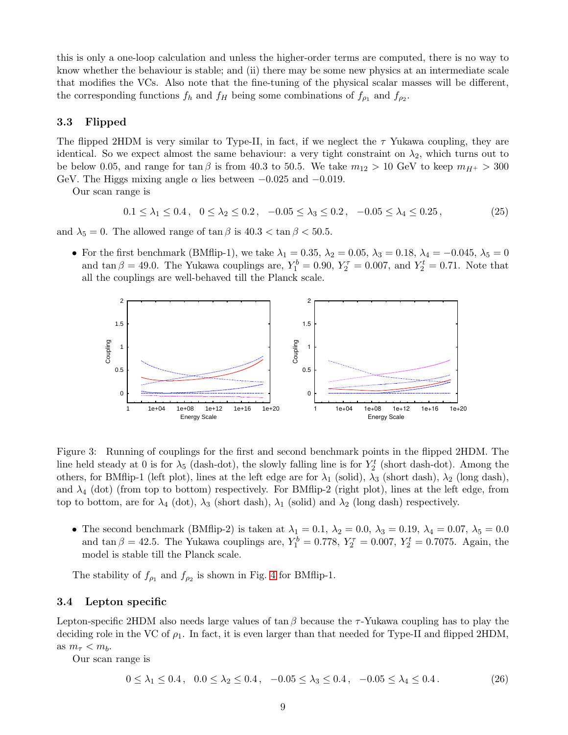this is only a one-loop calculation and unless the higher-order terms are computed, there is no way to know whether the behaviour is stable; and (ii) there may be some new physics at an intermediate scale that modifies the VCs. Also note that the fine-tuning of the physical scalar masses will be different, the corresponding functions  $f_h$  and  $f_H$  being some combinations of  $f_{\rho_1}$  and  $f_{\rho_2}$ .

### 3.3 Flipped

The flipped 2HDM is very similar to Type-II, in fact, if we neglect the  $\tau$  Yukawa coupling, they are identical. So we expect almost the same behaviour: a very tight constraint on  $\lambda_2$ , which turns out to be below 0.05, and range for tan  $\beta$  is from 40.3 to 50.5. We take  $m_{12} > 10$  GeV to keep  $m_{H^+} > 300$ GeV. The Higgs mixing angle  $\alpha$  lies between  $-0.025$  and  $-0.019$ .

Our scan range is

$$
0.1 \le \lambda_1 \le 0.4 \,, \quad 0 \le \lambda_2 \le 0.2 \,, \quad -0.05 \le \lambda_3 \le 0.2 \,, \quad -0.05 \le \lambda_4 \le 0.25 \,, \tag{25}
$$

and  $\lambda_5 = 0$ . The allowed range of  $\tan \beta$  is  $40.3 < \tan \beta < 50.5$ .

• For the first benchmark (BMflip-1), we take  $\lambda_1 = 0.35$ ,  $\lambda_2 = 0.05$ ,  $\lambda_3 = 0.18$ ,  $\lambda_4 = -0.045$ ,  $\lambda_5 = 0$ and  $\tan \beta = 49.0$ . The Yukawa couplings are,  $Y_1^b = 0.90$ ,  $Y_2^{\tau} = 0.007$ , and  $Y_2^t = 0.71$ . Note that all the couplings are well-behaved till the Planck scale.



Figure 3: Running of couplings for the first and second benchmark points in the flipped 2HDM. The line held steady at 0 is for  $\lambda_5$  (dash-dot), the slowly falling line is for  $Y_2^t$  (short dash-dot). Among the others, for BMflip-1 (left plot), lines at the left edge are for  $\lambda_1$  (solid),  $\lambda_3$  (short dash),  $\lambda_2$  (long dash), and  $\lambda_4$  (dot) (from top to bottom) respectively. For BMflip-2 (right plot), lines at the left edge, from top to bottom, are for  $\lambda_4$  (dot),  $\lambda_3$  (short dash),  $\lambda_1$  (solid) and  $\lambda_2$  (long dash) respectively.

• The second benchmark (BMflip-2) is taken at  $\lambda_1 = 0.1$ ,  $\lambda_2 = 0.0$ ,  $\lambda_3 = 0.19$ ,  $\lambda_4 = 0.07$ ,  $\lambda_5 = 0.0$ and  $\tan \beta = 42.5$ . The Yukawa couplings are,  $Y_1^b = 0.778$ ,  $Y_2^{\tau} = 0.007$ ,  $Y_2^t = 0.7075$ . Again, the model is stable till the Planck scale.

The stability of  $f_{\rho_1}$  and  $f_{\rho_2}$  is shown in Fig. [4](#page-9-0) for BMflip-1.

### 3.4 Lepton specific

Lepton-specific 2HDM also needs large values of tan β because the  $\tau$ -Yukawa coupling has to play the deciding role in the VC of  $\rho_1$ . In fact, it is even larger than that needed for Type-II and flipped 2HDM, as  $m_{\tau} < m_b$ .

Our scan range is

$$
0 \le \lambda_1 \le 0.4 \,, \quad 0.0 \le \lambda_2 \le 0.4 \,, \quad -0.05 \le \lambda_3 \le 0.4 \,, \quad -0.05 \le \lambda_4 \le 0.4 \,. \tag{26}
$$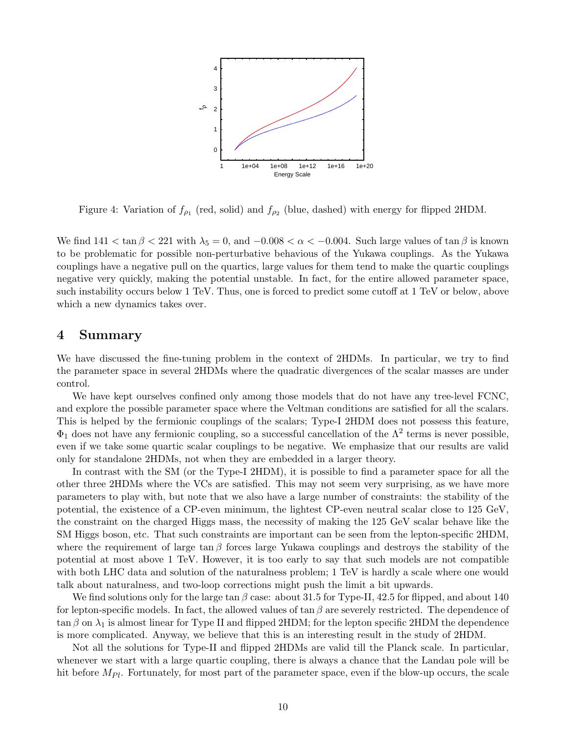

<span id="page-9-0"></span>Figure 4: Variation of  $f_{\rho_1}$  (red, solid) and  $f_{\rho_2}$  (blue, dashed) with energy for flipped 2HDM.

We find  $141 < \tan \beta < 221$  with  $\lambda_5 = 0$ , and  $-0.008 < \alpha < -0.004$ . Such large values of  $\tan \beta$  is known to be problematic for possible non-perturbative behavious of the Yukawa couplings. As the Yukawa couplings have a negative pull on the quartics, large values for them tend to make the quartic couplings negative very quickly, making the potential unstable. In fact, for the entire allowed parameter space, such instability occurs below 1 TeV. Thus, one is forced to predict some cutoff at 1 TeV or below, above which a new dynamics takes over.

### 4 Summary

We have discussed the fine-tuning problem in the context of 2HDMs. In particular, we try to find the parameter space in several 2HDMs where the quadratic divergences of the scalar masses are under control.

We have kept ourselves confined only among those models that do not have any tree-level FCNC. and explore the possible parameter space where the Veltman conditions are satisfied for all the scalars. This is helped by the fermionic couplings of the scalars; Type-I 2HDM does not possess this feature,  $\Phi_1$  does not have any fermionic coupling, so a successful cancellation of the  $\Lambda^2$  terms is never possible, even if we take some quartic scalar couplings to be negative. We emphasize that our results are valid only for standalone 2HDMs, not when they are embedded in a larger theory.

In contrast with the SM (or the Type-I 2HDM), it is possible to find a parameter space for all the other three 2HDMs where the VCs are satisfied. This may not seem very surprising, as we have more parameters to play with, but note that we also have a large number of constraints: the stability of the potential, the existence of a CP-even minimum, the lightest CP-even neutral scalar close to 125 GeV, the constraint on the charged Higgs mass, the necessity of making the 125 GeV scalar behave like the SM Higgs boson, etc. That such constraints are important can be seen from the lepton-specific 2HDM, where the requirement of large tan β forces large Yukawa couplings and destroys the stability of the potential at most above 1 TeV. However, it is too early to say that such models are not compatible with both LHC data and solution of the naturalness problem; 1 TeV is hardly a scale where one would talk about naturalness, and two-loop corrections might push the limit a bit upwards.

We find solutions only for the large tan  $\beta$  case: about 31.5 for Type-II, 42.5 for flipped, and about 140 for lepton-specific models. In fact, the allowed values of  $\tan \beta$  are severely restricted. The dependence of  $\tan \beta$  on  $\lambda_1$  is almost linear for Type II and flipped 2HDM; for the lepton specific 2HDM the dependence is more complicated. Anyway, we believe that this is an interesting result in the study of 2HDM.

Not all the solutions for Type-II and flipped 2HDMs are valid till the Planck scale. In particular, whenever we start with a large quartic coupling, there is always a chance that the Landau pole will be hit before  $M_{Pl}$ . Fortunately, for most part of the parameter space, even if the blow-up occurs, the scale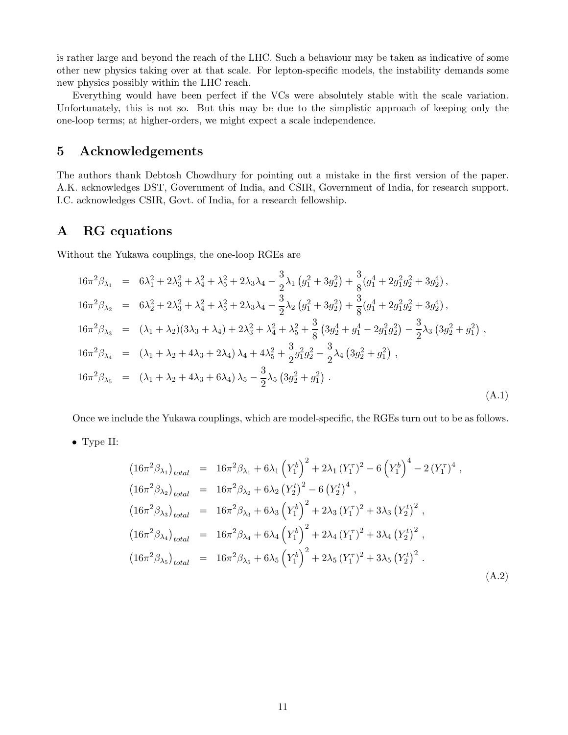is rather large and beyond the reach of the LHC. Such a behaviour may be taken as indicative of some other new physics taking over at that scale. For lepton-specific models, the instability demands some new physics possibly within the LHC reach.

Everything would have been perfect if the VCs were absolutely stable with the scale variation. Unfortunately, this is not so. But this may be due to the simplistic approach of keeping only the one-loop terms; at higher-orders, we might expect a scale independence.

# 5 Acknowledgements

The authors thank Debtosh Chowdhury for pointing out a mistake in the first version of the paper. A.K. acknowledges DST, Government of India, and CSIR, Government of India, for research support. I.C. acknowledges CSIR, Govt. of India, for a research fellowship.

## A RG equations

Without the Yukawa couplings, the one-loop RGEs are

$$
16\pi^{2}\beta_{\lambda_{1}} = 6\lambda_{1}^{2} + 2\lambda_{3}^{2} + \lambda_{4}^{2} + \lambda_{5}^{2} + 2\lambda_{3}\lambda_{4} - \frac{3}{2}\lambda_{1}\left(g_{1}^{2} + 3g_{2}^{2}\right) + \frac{3}{8}(g_{1}^{4} + 2g_{1}^{2}g_{2}^{2} + 3g_{2}^{4}),
$$
  
\n
$$
16\pi^{2}\beta_{\lambda_{2}} = 6\lambda_{2}^{2} + 2\lambda_{3}^{2} + \lambda_{4}^{2} + \lambda_{5}^{2} + 2\lambda_{3}\lambda_{4} - \frac{3}{2}\lambda_{2}\left(g_{1}^{2} + 3g_{2}^{2}\right) + \frac{3}{8}(g_{1}^{4} + 2g_{1}^{2}g_{2}^{2} + 3g_{2}^{4}),
$$
  
\n
$$
16\pi^{2}\beta_{\lambda_{3}} = (\lambda_{1} + \lambda_{2})(3\lambda_{3} + \lambda_{4}) + 2\lambda_{3}^{2} + \lambda_{4}^{2} + \lambda_{5}^{2} + \frac{3}{8}\left(3g_{2}^{4} + g_{1}^{4} - 2g_{1}^{2}g_{2}^{2}\right) - \frac{3}{2}\lambda_{3}\left(3g_{2}^{2} + g_{1}^{2}\right),
$$
  
\n
$$
16\pi^{2}\beta_{\lambda_{4}} = (\lambda_{1} + \lambda_{2} + 4\lambda_{3} + 2\lambda_{4})\lambda_{4} + 4\lambda_{5}^{2} + \frac{3}{2}g_{1}^{2}g_{2}^{2} - \frac{3}{2}\lambda_{4}\left(3g_{2}^{2} + g_{1}^{2}\right),
$$
  
\n
$$
16\pi^{2}\beta_{\lambda_{5}} = (\lambda_{1} + \lambda_{2} + 4\lambda_{3} + 6\lambda_{4})\lambda_{5} - \frac{3}{2}\lambda_{5}\left(3g_{2}^{2} + g_{1}^{2}\right).
$$
  
\n(A.1)

Once we include the Yukawa couplings, which are model-specific, the RGEs turn out to be as follows.

• Type II:

<span id="page-10-0"></span>
$$
(16\pi^2 \beta_{\lambda_1})_{total} = 16\pi^2 \beta_{\lambda_1} + 6\lambda_1 (Y_1^b)^2 + 2\lambda_1 (Y_1^{\tau})^2 - 6 (Y_1^b)^4 - 2 (Y_1^{\tau})^4 ,
$$
  
\n
$$
(16\pi^2 \beta_{\lambda_2})_{total} = 16\pi^2 \beta_{\lambda_2} + 6\lambda_2 (Y_2^t)^2 - 6 (Y_2^t)^4 ,
$$
  
\n
$$
(16\pi^2 \beta_{\lambda_3})_{total} = 16\pi^2 \beta_{\lambda_3} + 6\lambda_3 (Y_1^b)^2 + 2\lambda_3 (Y_1^{\tau})^2 + 3\lambda_3 (Y_2^t)^2 ,
$$
  
\n
$$
(16\pi^2 \beta_{\lambda_4})_{total} = 16\pi^2 \beta_{\lambda_4} + 6\lambda_4 (Y_1^b)^2 + 2\lambda_4 (Y_1^{\tau})^2 + 3\lambda_4 (Y_2^t)^2 ,
$$
  
\n
$$
(16\pi^2 \beta_{\lambda_5})_{total} = 16\pi^2 \beta_{\lambda_5} + 6\lambda_5 (Y_1^b)^2 + 2\lambda_5 (Y_1^{\tau})^2 + 3\lambda_5 (Y_2^t)^2 .
$$
  
\n(A.2)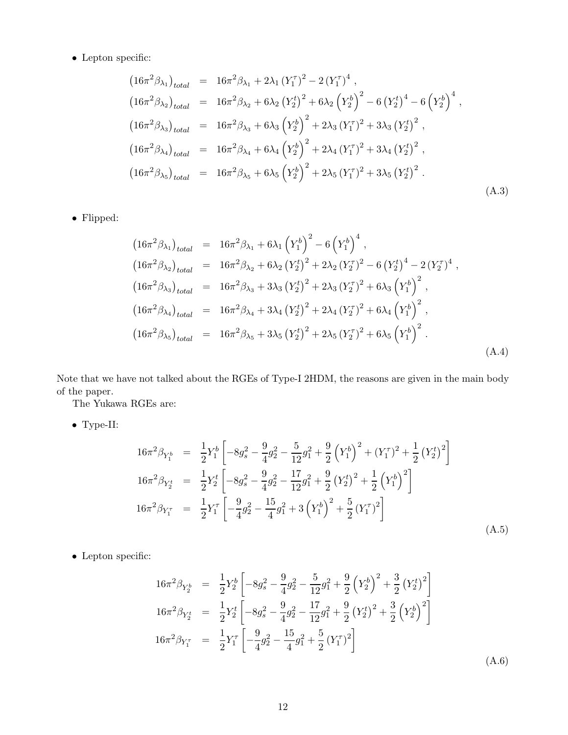$\bullet\,$  Lepton specific:

$$
(16\pi^2 \beta_{\lambda_1})_{total} = 16\pi^2 \beta_{\lambda_1} + 2\lambda_1 (Y_1^{\tau})^2 - 2 (Y_1^{\tau})^4 ,
$$
  
\n
$$
(16\pi^2 \beta_{\lambda_2})_{total} = 16\pi^2 \beta_{\lambda_2} + 6\lambda_2 (Y_2^t)^2 + 6\lambda_2 (Y_2^b)^2 - 6 (Y_2^t)^4 - 6 (Y_2^b)^4 ,
$$
  
\n
$$
(16\pi^2 \beta_{\lambda_3})_{total} = 16\pi^2 \beta_{\lambda_3} + 6\lambda_3 (Y_2^b)^2 + 2\lambda_3 (Y_1^{\tau})^2 + 3\lambda_3 (Y_2^t)^2 ,
$$
  
\n
$$
(16\pi^2 \beta_{\lambda_4})_{total} = 16\pi^2 \beta_{\lambda_4} + 6\lambda_4 (Y_2^b)^2 + 2\lambda_4 (Y_1^{\tau})^2 + 3\lambda_4 (Y_2^t)^2 ,
$$
  
\n
$$
(16\pi^2 \beta_{\lambda_5})_{total} = 16\pi^2 \beta_{\lambda_5} + 6\lambda_5 (Y_2^b)^2 + 2\lambda_5 (Y_1^{\tau})^2 + 3\lambda_5 (Y_2^t)^2 .
$$
  
\n(A.3)

 $\bullet\,$  Flipped:

$$
(16\pi^2 \beta_{\lambda_1})_{total} = 16\pi^2 \beta_{\lambda_1} + 6\lambda_1 (Y_1^b)^2 - 6 (Y_1^b)^4,
$$
  
\n
$$
(16\pi^2 \beta_{\lambda_2})_{total} = 16\pi^2 \beta_{\lambda_2} + 6\lambda_2 (Y_2^t)^2 + 2\lambda_2 (Y_2^{\tau})^2 - 6 (Y_2^t)^4 - 2 (Y_2^{\tau})^4,
$$
  
\n
$$
(16\pi^2 \beta_{\lambda_3})_{total} = 16\pi^2 \beta_{\lambda_3} + 3\lambda_3 (Y_2^t)^2 + 2\lambda_3 (Y_2^{\tau})^2 + 6\lambda_3 (Y_1^b)^2,
$$
  
\n
$$
(16\pi^2 \beta_{\lambda_4})_{total} = 16\pi^2 \beta_{\lambda_4} + 3\lambda_4 (Y_2^t)^2 + 2\lambda_4 (Y_2^{\tau})^2 + 6\lambda_4 (Y_1^b)^2,
$$
  
\n
$$
(16\pi^2 \beta_{\lambda_5})_{total} = 16\pi^2 \beta_{\lambda_5} + 3\lambda_5 (Y_2^t)^2 + 2\lambda_5 (Y_2^{\tau})^2 + 6\lambda_5 (Y_1^b)^2.
$$
  
\n(A.4)

Note that we have not talked about the RGEs of Type-I 2HDM, the reasons are given in the main body of the paper.

The Yukawa RGEs are:

• Type-II:

$$
16\pi^2 \beta_{Y_1^b} = \frac{1}{2} Y_1^b \left[ -8g_s^2 - \frac{9}{4}g_2^2 - \frac{5}{12}g_1^2 + \frac{9}{2} \left( Y_1^b \right)^2 + (Y_1^{\tau})^2 + \frac{1}{2} \left( Y_2^t \right)^2 \right]
$$
  
\n
$$
16\pi^2 \beta_{Y_2^t} = \frac{1}{2} Y_2^t \left[ -8g_s^2 - \frac{9}{4}g_2^2 - \frac{17}{12}g_1^2 + \frac{9}{2} \left( Y_2^t \right)^2 + \frac{1}{2} \left( Y_1^b \right)^2 \right]
$$
  
\n
$$
16\pi^2 \beta_{Y_1^{\tau}} = \frac{1}{2} Y_1^{\tau} \left[ -\frac{9}{4} g_2^2 - \frac{15}{4} g_1^2 + 3 \left( Y_1^b \right)^2 + \frac{5}{2} \left( Y_1^{\tau} \right)^2 \right]
$$
  
\n(A.5)

 $\bullet\,$  Lepton specific:

$$
16\pi^{2}\beta_{Y_{2}^{b}} = \frac{1}{2}Y_{2}^{b} \left[ -8g_{s}^{2} - \frac{9}{4}g_{2}^{2} - \frac{5}{12}g_{1}^{2} + \frac{9}{2}\left(Y_{2}^{b}\right)^{2} + \frac{3}{2}\left(Y_{2}^{t}\right)^{2} \right]
$$
  
\n
$$
16\pi^{2}\beta_{Y_{2}^{t}} = \frac{1}{2}Y_{2}^{t} \left[ -8g_{s}^{2} - \frac{9}{4}g_{2}^{2} - \frac{17}{12}g_{1}^{2} + \frac{9}{2}\left(Y_{2}^{t}\right)^{2} + \frac{3}{2}\left(Y_{2}^{b}\right)^{2} \right]
$$
  
\n
$$
16\pi^{2}\beta_{Y_{1}^{\tau}} = \frac{1}{2}Y_{1}^{\tau} \left[ -\frac{9}{4}g_{2}^{2} - \frac{15}{4}g_{1}^{2} + \frac{5}{2}\left(Y_{1}^{\tau}\right)^{2} \right]
$$
  
\n
$$
(A.6)
$$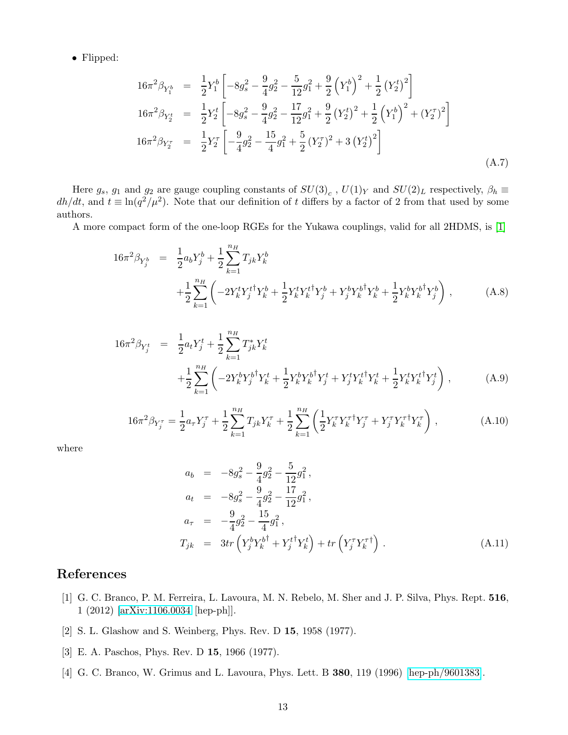• Flipped:

$$
16\pi^2 \beta_{Y_1^b} = \frac{1}{2} Y_1^b \left[ -8g_s^2 - \frac{9}{4}g_2^2 - \frac{5}{12}g_1^2 + \frac{9}{2} (Y_1^b)^2 + \frac{1}{2} (Y_2^t)^2 \right]
$$
  
\n
$$
16\pi^2 \beta_{Y_2^t} = \frac{1}{2} Y_2^t \left[ -8g_s^2 - \frac{9}{4}g_2^2 - \frac{17}{12}g_1^2 + \frac{9}{2} (Y_2^t)^2 + \frac{1}{2} (Y_1^b)^2 + (Y_2^{\tau})^2 \right]
$$
  
\n
$$
16\pi^2 \beta_{Y_2^{\tau}} = \frac{1}{2} Y_2^{\tau} \left[ -\frac{9}{4}g_2^2 - \frac{15}{4}g_1^2 + \frac{5}{2} (Y_2^{\tau})^2 + 3 (Y_2^t)^2 \right]
$$
  
\n(A.7)

Here  $g_s$ ,  $g_1$  and  $g_2$  are gauge coupling constants of  $SU(3)_c$ ,  $U(1)_Y$  and  $SU(2)_L$  respectively,  $\beta_h \equiv$  $dh/dt$ , and  $t \equiv \ln(q^2/\mu^2)$ . Note that our definition of t differs by a factor of 2 from that used by some authors.

A more compact form of the one-loop RGEs for the Yukawa couplings, valid for all 2HDMS, is [\[1\]](#page-12-0)

$$
16\pi^{2}\beta_{Y_{j}^{b}} = \frac{1}{2}a_{b}Y_{j}^{b} + \frac{1}{2}\sum_{k=1}^{n_{H}}T_{jk}Y_{k}^{b} + \frac{1}{2}\sum_{k=1}^{n_{H}}\left(-2Y_{k}^{t}Y_{j}^{t\dagger}Y_{k}^{b} + \frac{1}{2}Y_{k}^{t}Y_{k}^{t\dagger}Y_{j}^{b} + Y_{j}^{b}Y_{k}^{b\dagger}Y_{k}^{b} + \frac{1}{2}Y_{k}^{b}Y_{k}^{b\dagger}Y_{j}^{b}\right), \qquad (A.8)
$$

$$
16\pi^{2}\beta_{Y_{j}^{t}} = \frac{1}{2}a_{t}Y_{j}^{t} + \frac{1}{2}\sum_{k=1}^{n_{H}}T_{jk}^{*}Y_{k}^{t} + \frac{1}{2}Y_{k}^{b}Y_{k}^{b\dagger}Y_{j}^{t} + Y_{j}^{t}Y_{k}^{t\dagger}Y_{k}^{t} + \frac{1}{2}Y_{k}^{t}Y_{k}^{t\dagger}Y_{j}^{t}\right),
$$
\n(A.9)

$$
16\pi^2 \beta_{Y_j^\tau} = \frac{1}{2} a_\tau Y_j^\tau + \frac{1}{2} \sum_{k=1}^{n_H} T_{jk} Y_k^\tau + \frac{1}{2} \sum_{k=1}^{n_H} \left( \frac{1}{2} Y_k^\tau Y_k^{\tau \dagger} Y_j^\tau + Y_j^\tau Y_k^{\tau \dagger} Y_k^\tau \right) , \tag{A.10}
$$

where

$$
a_b = -8g_s^2 - \frac{9}{4}g_2^2 - \frac{5}{12}g_1^2,
$$
  
\n
$$
a_t = -8g_s^2 - \frac{9}{4}g_2^2 - \frac{17}{12}g_1^2,
$$
  
\n
$$
a_\tau = -\frac{9}{4}g_2^2 - \frac{15}{4}g_1^2,
$$
  
\n
$$
T_{jk} = 3tr\left(Y_j^bY_k^{b\dagger} + Y_j^{t\dagger}Y_k^t\right) + tr\left(Y_j^\tau Y_k^{\tau\dagger}\right).
$$
\n(A.11)

# <span id="page-12-0"></span>References

- [1] G. C. Branco, P. M. Ferreira, L. Lavoura, M. N. Rebelo, M. Sher and J. P. Silva, Phys. Rept. 516, 1 (2012) [\[arXiv:1106.0034](http://arxiv.org/abs/1106.0034) [hep-ph]].
- <span id="page-12-2"></span><span id="page-12-1"></span>[2] S. L. Glashow and S. Weinberg, Phys. Rev. D 15, 1958 (1977).
- <span id="page-12-3"></span>[3] E. A. Paschos, Phys. Rev. D 15, 1966 (1977).
- [4] G. C. Branco, W. Grimus and L. Lavoura, Phys. Lett. B 380, 119 (1996) [\[hep-ph/9601383\]](http://arxiv.org/abs/hep-ph/9601383).